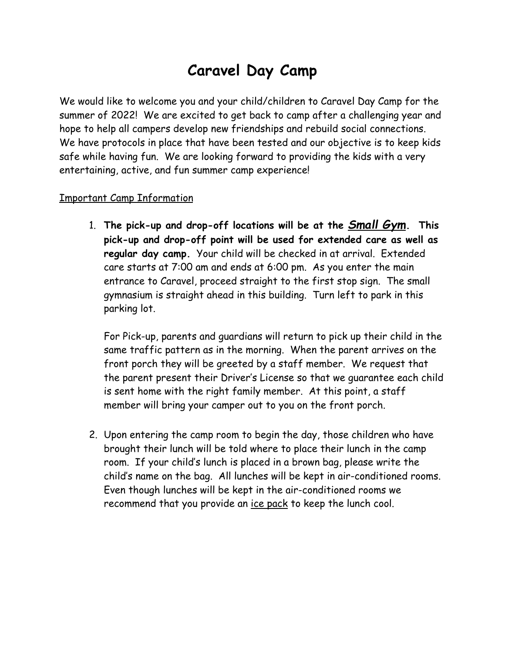## **Caravel Day Camp**

We would like to welcome you and your child/children to Caravel Day Camp for the summer of 2022! We are excited to get back to camp after a challenging year and hope to help all campers develop new friendships and rebuild social connections. We have protocols in place that have been tested and our objective is to keep kids safe while having fun. We are looking forward to providing the kids with a very entertaining, active, and fun summer camp experience!

## Important Camp Information

1. **The pick-up and drop-off locations will be at the** *Small Gym***. This pick-up and drop-off point will be used for extended care as well as regular day camp.** Your child will be checked in at arrival. Extended care starts at 7:00 am and ends at 6:00 pm. As you enter the main entrance to Caravel, proceed straight to the first stop sign. The small gymnasium is straight ahead in this building. Turn left to park in this parking lot.

For Pick-up, parents and guardians will return to pick up their child in the same traffic pattern as in the morning. When the parent arrives on the front porch they will be greeted by a staff member. We request that the parent present their Driver's License so that we guarantee each child is sent home with the right family member. At this point, a staff member will bring your camper out to you on the front porch.

2. Upon entering the camp room to begin the day, those children who have brought their lunch will be told where to place their lunch in the camp room. If your child's lunch is placed in a brown bag, please write the child's name on the bag. All lunches will be kept in air-conditioned rooms. Even though lunches will be kept in the air-conditioned rooms we recommend that you provide an ice pack to keep the lunch cool.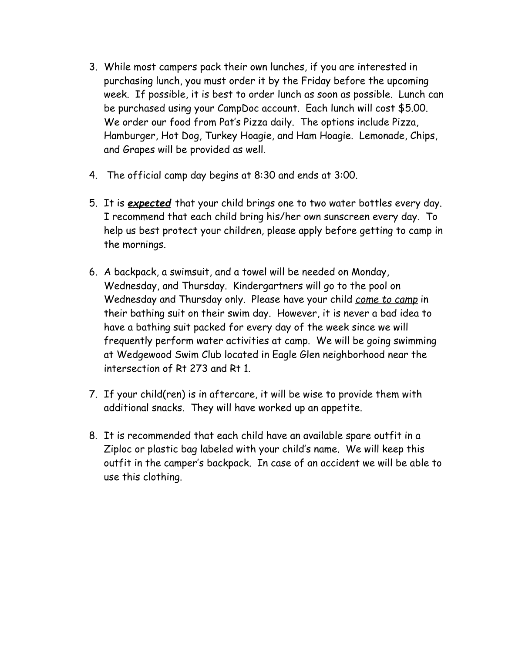- 3. While most campers pack their own lunches, if you are interested in purchasing lunch, you must order it by the Friday before the upcoming week. If possible, it is best to order lunch as soon as possible. Lunch can be purchased using your CampDoc account. Each lunch will cost \$5.00. We order our food from Pat's Pizza daily. The options include Pizza, Hamburger, Hot Dog, Turkey Hoagie, and Ham Hoagie. Lemonade, Chips, and Grapes will be provided as well.
- 4. The official camp day begins at 8:30 and ends at 3:00.
- 5. It is *expected* that your child brings one to two water bottles every day. I recommend that each child bring his/her own sunscreen every day. To help us best protect your children, please apply before getting to camp in the mornings.
- 6. A backpack, a swimsuit, and a towel will be needed on Monday, Wednesday, and Thursday. Kindergartners will go to the pool on Wednesday and Thursday only. Please have your child *come to camp* in their bathing suit on their swim day. However, it is never a bad idea to have a bathing suit packed for every day of the week since we will frequently perform water activities at camp. We will be going swimming at Wedgewood Swim Club located in Eagle Glen neighborhood near the intersection of Rt 273 and Rt 1.
- 7. If your child(ren) is in aftercare, it will be wise to provide them with additional snacks. They will have worked up an appetite.
- 8. It is recommended that each child have an available spare outfit in a Ziploc or plastic bag labeled with your child's name. We will keep this outfit in the camper's backpack. In case of an accident we will be able to use this clothing.